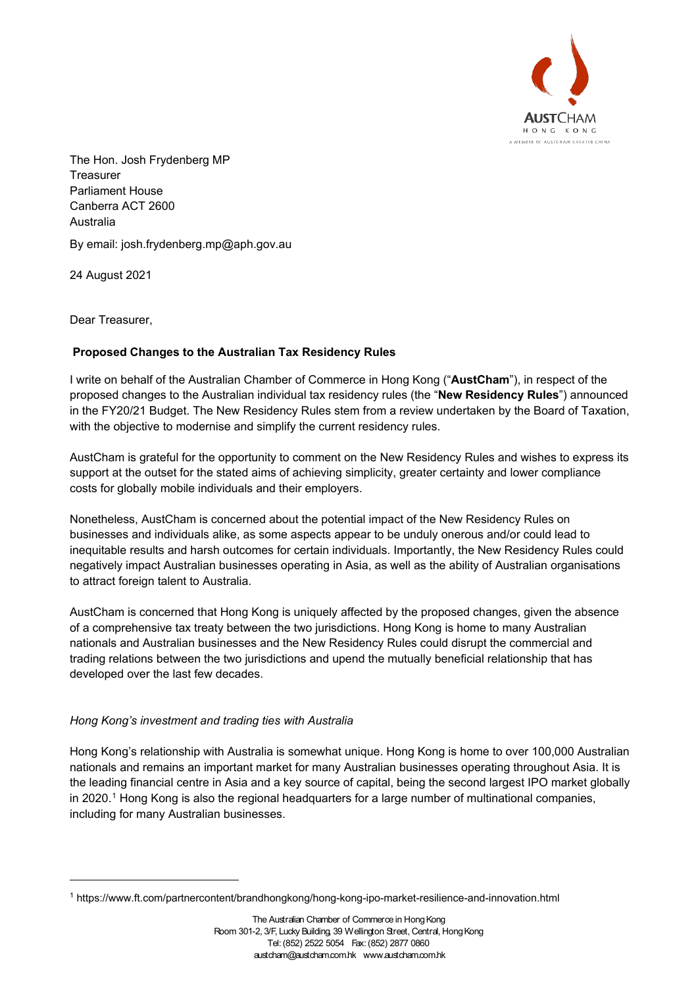

The Hon. Josh Frydenberg MP **Treasurer** Parliament House Canberra ACT 2600 Australia

By email: [josh.frydenberg.mp@aph.gov](mailto:department@treasury.gov.au).au

24 August 2021

Dear Treasurer,

# **Proposed Changes to the Australian Tax Residency Rules**

I write on behalf of the Australian Chamber of Commerce in Hong Kong ("**AustCham**"), in respect of the proposed changes to the Australian individual tax residency rules (the "**New Residency Rules**") announced in the FY20/21 Budget. The New Residency Rules stem from a review undertaken by the Board of Taxation, with the objective to modernise and simplify the current residency rules.

AustCham is grateful for the opportunity to comment on the New Residency Rules and wishes to express its support at the outset for the stated aims of achieving simplicity, greater certainty and lower compliance costs for globally mobile individuals and their employers.

Nonetheless, AustCham is concerned about the potential impact of the New Residency Rules on businesses and individuals alike, as some aspects appear to be unduly onerous and/or could lead to inequitable results and harsh outcomes for certain individuals. Importantly, the New Residency Rules could negatively impact Australian businesses operating in Asia, as well as the ability of Australian organisations to attract foreign talent to Australia.

AustCham is concerned that Hong Kong is uniquely affected by the proposed changes, given the absence of a comprehensive tax treaty between the two jurisdictions. Hong Kong is home to many Australian nationals and Australian businesses and the New Residency Rules could disrupt the commercial and trading relations between the two jurisdictions and upend the mutually beneficial relationship that has developed over the last few decades.

# *Hong Kong's investment and trading ties with Australia*

Hong Kong's relationship with Australia is somewhat unique. Hong Kong is home to over 100,000 Australian nationals and remains an important market for many Australian businesses operating throughout Asia. It is the leading financial centre in Asia and a key source of capital, being the second largest IPO market globally in 2020.<sup>[1](#page-0-0)</sup> Hong Kong is also the regional headquarters for a large number of multinational companies, including for many Australian businesses.

<span id="page-0-0"></span><sup>1</sup> https://www.ft.com/partnercontent/brandhongkong/hong-kong-ipo-market-resilience-and-innovation.html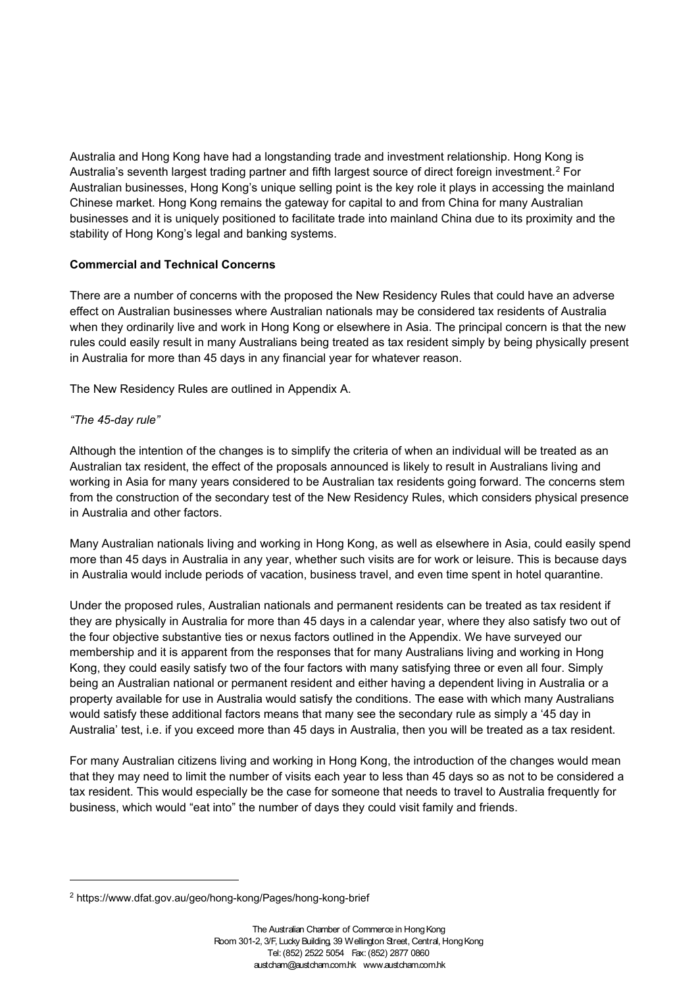Australia and Hong Kong have had a longstanding trade and investment relationship. Hong Kong is Australia's seventh largest trading partner and fifth largest source of direct foreign investment. $^2$  $^2$  For Australian businesses, Hong Kong's unique selling point is the key role it plays in accessing the mainland Chinese market. Hong Kong remains the gateway for capital to and from China for many Australian businesses and it is uniquely positioned to facilitate trade into mainland China due to its proximity and the stability of Hong Kong's legal and banking systems.

# **Commercial and Technical Concerns**

There are a number of concerns with the proposed the New Residency Rules that could have an adverse effect on Australian businesses where Australian nationals may be considered tax residents of Australia when they ordinarily live and work in Hong Kong or elsewhere in Asia. The principal concern is that the new rules could easily result in many Australians being treated as tax resident simply by being physically present in Australia for more than 45 days in any financial year for whatever reason.

The New Residency Rules are outlined in Appendix A.

# *"The 45-day rule"*

Although the intention of the changes is to simplify the criteria of when an individual will be treated as an Australian tax resident, the effect of the proposals announced is likely to result in Australians living and working in Asia for many years considered to be Australian tax residents going forward. The concerns stem from the construction of the secondary test of the New Residency Rules, which considers physical presence in Australia and other factors.

Many Australian nationals living and working in Hong Kong, as well as elsewhere in Asia, could easily spend more than 45 days in Australia in any year, whether such visits are for work or leisure. This is because days in Australia would include periods of vacation, business travel, and even time spent in hotel quarantine.

Under the proposed rules, Australian nationals and permanent residents can be treated as tax resident if they are physically in Australia for more than 45 days in a calendar year, where they also satisfy two out of the four objective substantive ties or nexus factors outlined in the Appendix. We have surveyed our membership and it is apparent from the responses that for many Australians living and working in Hong Kong, they could easily satisfy two of the four factors with many satisfying three or even all four. Simply being an Australian national or permanent resident and either having a dependent living in Australia or a property available for use in Australia would satisfy the conditions. The ease with which many Australians would satisfy these additional factors means that many see the secondary rule as simply a '45 day in Australia' test, i.e. if you exceed more than 45 days in Australia, then you will be treated as a tax resident.

For many Australian citizens living and working in Hong Kong, the introduction of the changes would mean that they may need to limit the number of visits each year to less than 45 days so as not to be considered a tax resident. This would especially be the case for someone that needs to travel to Australia frequently for business, which would "eat into" the number of days they could visit family and friends.

<span id="page-1-0"></span><sup>2</sup> https://www.dfat.gov.au/geo/hong-kong/Pages/hong-kong-brief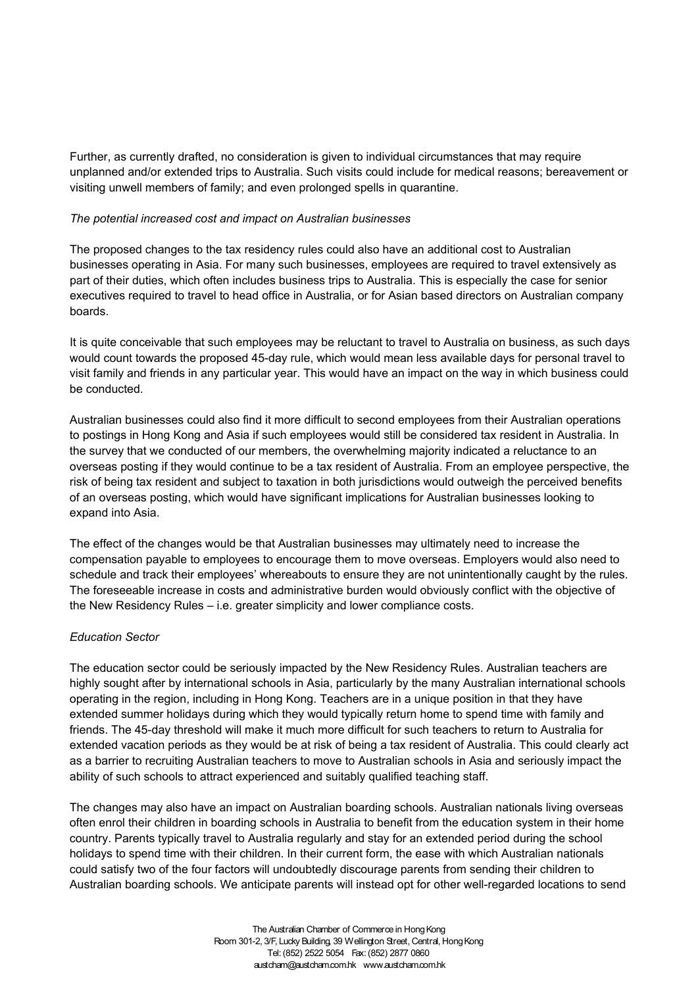Further, as currently drafted, no consideration is given to individual circumstances that may require unplanned and/or extended trips to Australia. Such visits could include for medical reasons; bereavement or visiting unwell members of family; and even prolonged spells in quarantine.

#### *The potential increased cost and impact on Australian businesses*

The proposed changes to the tax residency rules could also have an additional cost to Australian businesses operating in Asia. For many such businesses, employees are required to travel extensively as part of their duties, which often includes business trips to Australia. This is especially the case for senior executives required to travel to head office in Australia, or for Asian based directors on Australian company boards.

It is quite conceivable that such employees may be reluctant to travel to Australia on business, as such days would count towards the proposed 45-day rule, which would mean less available days for personal travel to visit family and friends in any particular year. This would have an impact on the way in which business could be conducted.

Australian businesses could also find it more difficult to second employees from their Australian operations to postings in Hong Kong and Asia if such employees would still be considered tax resident in Australia. In the survey that we conducted of our members, the overwhelming majority indicated a reluctance to an overseas posting if they would continue to be a tax resident of Australia. From an employee perspective, the risk of being tax resident and subject to taxation in both jurisdictions would outweigh the perceived benefits of an overseas posting, which would have significant implications for Australian businesses looking to expand into Asia.

The effect of the changes would be that Australian businesses may ultimately need to increase the compensation payable to employees to encourage them to move overseas. Employers would also need to schedule and track their employees' whereabouts to ensure they are not unintentionally caught by the rules. The foreseeable increase in costs and administrative burden would obviously conflict with the objective of the New Residency Rules – i.e. greater simplicity and lower compliance costs.

## *Education Sector*

The education sector could be seriously impacted by the New Residency Rules. Australian teachers are highly sought after by international schools in Asia, particularly by the many Australian international schools operating in the region, including in Hong Kong. Teachers are in a unique position in that they have extended summer holidays during which they would typically return home to spend time with family and friends. The 45-day threshold will make it much more difficult for such teachers to return to Australia for extended vacation periods as they would be at risk of being a tax resident of Australia. This could clearly act as a barrier to recruiting Australian teachers to move to Australian schools in Asia and seriously impact the ability of such schools to attract experienced and suitably qualified teaching staff.

The changes may also have an impact on Australian boarding schools. Australian nationals living overseas often enrol their children in boarding schools in Australia to benefit from the education system in their home country. Parents typically travel to Australia regularly and stay for an extended period during the school holidays to spend time with their children. In their current form, the ease with which Australian nationals could satisfy two of the four factors will undoubtedly discourage parents from sending their children to Australian boarding schools. We anticipate parents will instead opt for other well-regarded locations to send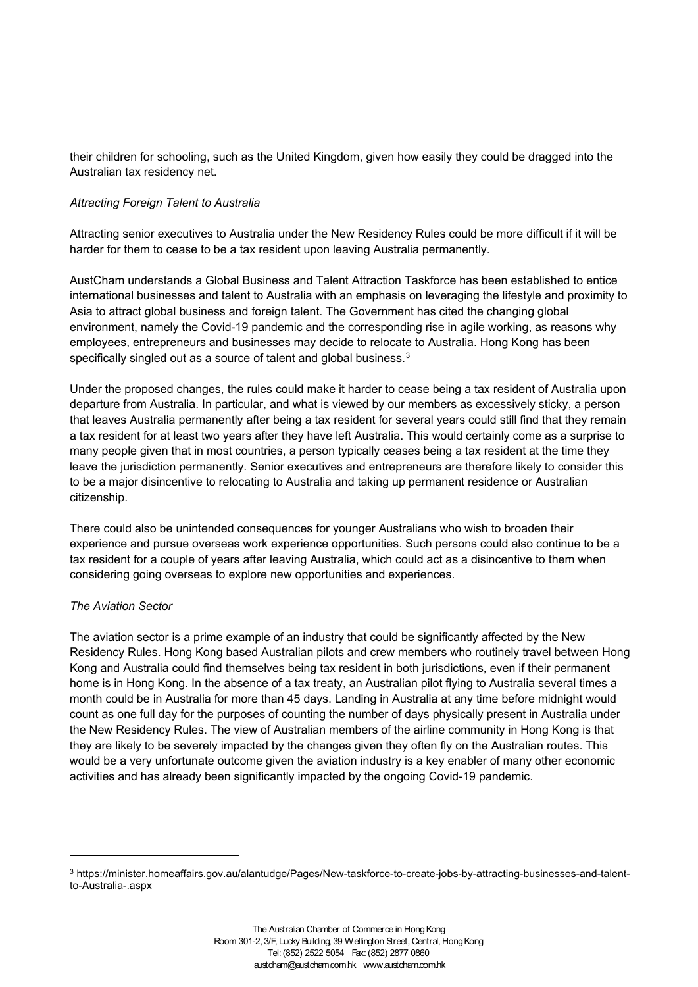their children for schooling, such as the United Kingdom, given how easily they could be dragged into the Australian tax residency net.

#### *Attracting Foreign Talent to Australia*

Attracting senior executives to Australia under the New Residency Rules could be more difficult if it will be harder for them to cease to be a tax resident upon leaving Australia permanently.

AustCham understands a Global Business and Talent Attraction Taskforce has been established to entice international businesses and talent to Australia with an emphasis on leveraging the lifestyle and proximity to Asia to attract global business and foreign talent. The Government has cited the changing global environment, namely the Covid-19 pandemic and the corresponding rise in agile working, as reasons why employees, entrepreneurs and businesses may decide to relocate to Australia. Hong Kong has been specifically singled out as a source of talent and global business.<sup>[3](#page-3-0)</sup>

Under the proposed changes, the rules could make it harder to cease being a tax resident of Australia upon departure from Australia. In particular, and what is viewed by our members as excessively sticky, a person that leaves Australia permanently after being a tax resident for several years could still find that they remain a tax resident for at least two years after they have left Australia. This would certainly come as a surprise to many people given that in most countries, a person typically ceases being a tax resident at the time they leave the jurisdiction permanently. Senior executives and entrepreneurs are therefore likely to consider this to be a major disincentive to relocating to Australia and taking up permanent residence or Australian citizenship.

There could also be unintended consequences for younger Australians who wish to broaden their experience and pursue overseas work experience opportunities. Such persons could also continue to be a tax resident for a couple of years after leaving Australia, which could act as a disincentive to them when considering going overseas to explore new opportunities and experiences.

## *The Aviation Sector*

The aviation sector is a prime example of an industry that could be significantly affected by the New Residency Rules. Hong Kong based Australian pilots and crew members who routinely travel between Hong Kong and Australia could find themselves being tax resident in both jurisdictions, even if their permanent home is in Hong Kong. In the absence of a tax treaty, an Australian pilot flying to Australia several times a month could be in Australia for more than 45 days. Landing in Australia at any time before midnight would count as one full day for the purposes of counting the number of days physically present in Australia under the New Residency Rules. The view of Australian members of the airline community in Hong Kong is that they are likely to be severely impacted by the changes given they often fly on the Australian routes. This would be a very unfortunate outcome given the aviation industry is a key enabler of many other economic activities and has already been significantly impacted by the ongoing Covid-19 pandemic.

<span id="page-3-0"></span><sup>3</sup> https://minister.homeaffairs.gov.au/alantudge/Pages/New-taskforce-to-create-jobs-by-attracting-businesses-and-talentto-Australia-.aspx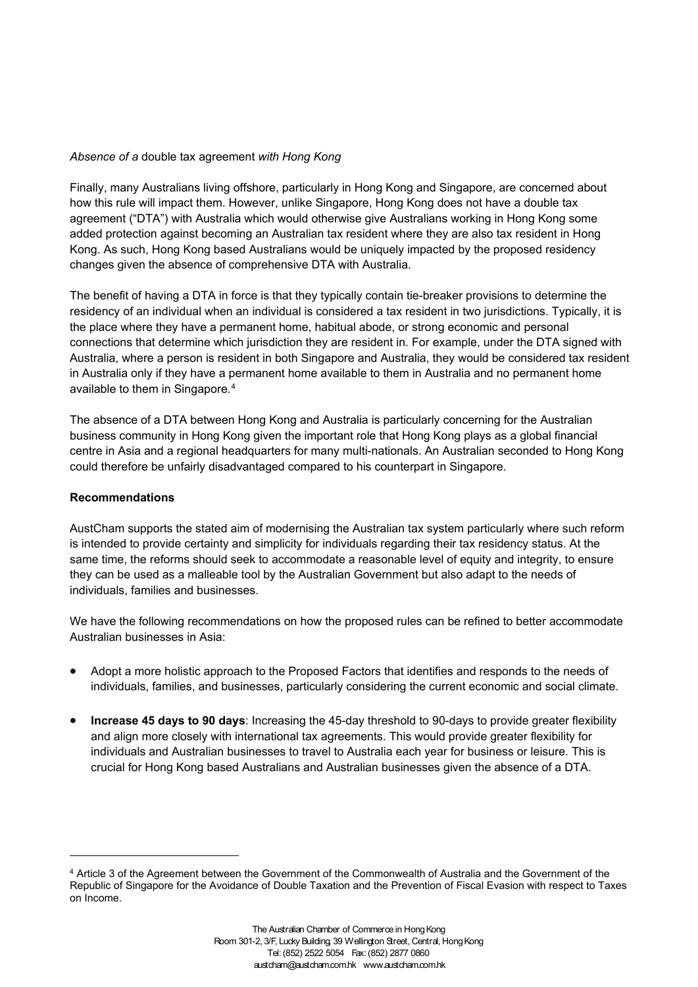## *Absence of a* double tax agreement *with Hong Kong*

Finally, many Australians living offshore, particularly in Hong Kong and Singapore, are concerned about how this rule will impact them. However, unlike Singapore, Hong Kong does not have a double tax agreement ("DTA") with Australia which would otherwise give Australians working in Hong Kong some added protection against becoming an Australian tax resident where they are also tax resident in Hong Kong. As such, Hong Kong based Australians would be uniquely impacted by the proposed residency changes given the absence of comprehensive DTA with Australia.

The benefit of having a DTA in force is that they typically contain tie-breaker provisions to determine the residency of an individual when an individual is considered a tax resident in two jurisdictions. Typically, it is the place where they have a permanent home, habitual abode, or strong economic and personal connections that determine which jurisdiction they are resident in. For example, under the DTA signed with Australia, where a person is resident in both Singapore and Australia, they would be considered tax resident in Australia only if they have a permanent home available to them in Australia and no permanent home available to them in Singapore. [4](#page-4-0)

The absence of a DTA between Hong Kong and Australia is particularly concerning for the Australian business community in Hong Kong given the important role that Hong Kong plays as a global financial centre in Asia and a regional headquarters for many multi-nationals. An Australian seconded to Hong Kong could therefore be unfairly disadvantaged compared to his counterpart in Singapore.

#### **Recommendations**

AustCham supports the stated aim of modernising the Australian tax system particularly where such reform is intended to provide certainty and simplicity for individuals regarding their tax residency status. At the same time, the reforms should seek to accommodate a reasonable level of equity and integrity, to ensure they can be used as a malleable tool by the Australian Government but also adapt to the needs of individuals, families and businesses.

We have the following recommendations on how the proposed rules can be refined to better accommodate Australian businesses in Asia:

- Adopt a more holistic approach to the Proposed Factors that identifies and responds to the needs of individuals, families, and businesses, particularly considering the current economic and social climate.
- **Increase 45 days to 90 days**: Increasing the 45-day threshold to 90-days to provide greater flexibility and align more closely with international tax agreements. This would provide greater flexibility for individuals and Australian businesses to travel to Australia each year for business or leisure. This is crucial for Hong Kong based Australians and Australian businesses given the absence of a DTA.

<span id="page-4-0"></span><sup>4</sup> Article 3 of the Agreement between the Government of the Commonwealth of Australia and the Government of the Republic of Singapore for the Avoidance of Double Taxation and the Prevention of Fiscal Evasion with respect to Taxes on Income.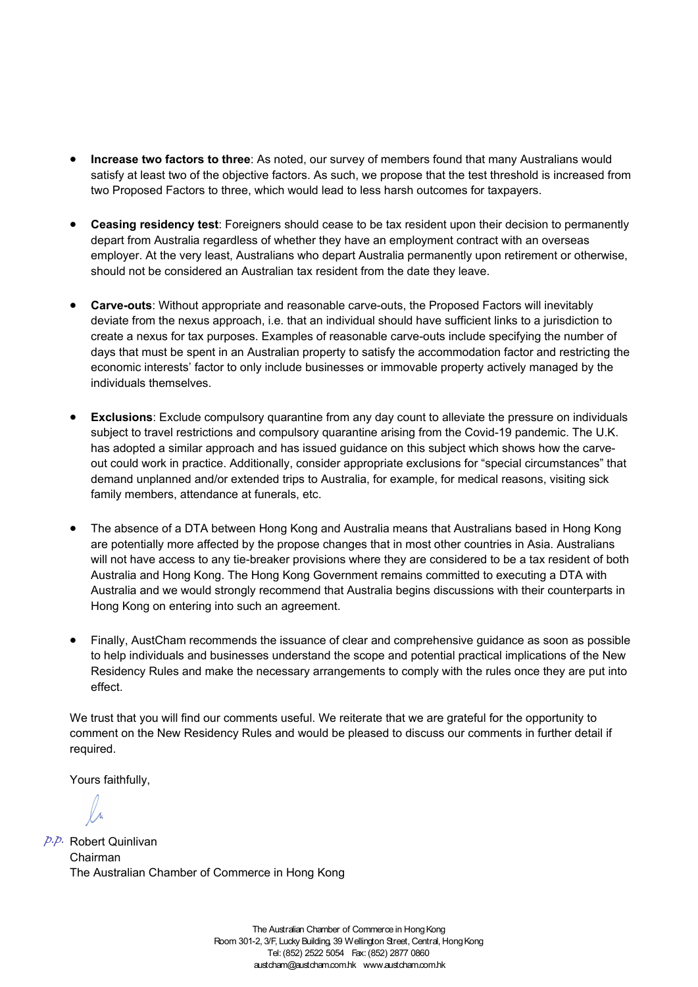- **Increase two factors to three**: As noted, our survey of members found that many Australians would satisfy at least two of the objective factors. As such, we propose that the test threshold is increased from two Proposed Factors to three, which would lead to less harsh outcomes for taxpayers.
- **Ceasing residency test**: Foreigners should cease to be tax resident upon their decision to permanently depart from Australia regardless of whether they have an employment contract with an overseas employer. At the very least, Australians who depart Australia permanently upon retirement or otherwise, should not be considered an Australian tax resident from the date they leave.
- **Carve-outs**: Without appropriate and reasonable carve-outs, the Proposed Factors will inevitably deviate from the nexus approach, i.e. that an individual should have sufficient links to a jurisdiction to create a nexus for tax purposes. Examples of reasonable carve-outs include specifying the number of days that must be spent in an Australian property to satisfy the accommodation factor and restricting the economic interests' factor to only include businesses or immovable property actively managed by the individuals themselves.
- **Exclusions**: Exclude compulsory quarantine from any day count to alleviate the pressure on individuals subject to travel restrictions and compulsory quarantine arising from the Covid-19 pandemic. The U.K. has adopted a similar approach and has issued guidance on this subject which shows how the carveout could work in practice. Additionally, consider appropriate exclusions for "special circumstances" that demand unplanned and/or extended trips to Australia, for example, for medical reasons, visiting sick family members, attendance at funerals, etc.
- The absence of a DTA between Hong Kong and Australia means that Australians based in Hong Kong are potentially more affected by the propose changes that in most other countries in Asia. Australians will not have access to any tie-breaker provisions where they are considered to be a tax resident of both Australia and Hong Kong. The Hong Kong Government remains committed to executing a DTA with Australia and we would strongly recommend that Australia begins discussions with their counterparts in Hong Kong on entering into such an agreement.
- Finally, AustCham recommends the issuance of clear and comprehensive guidance as soon as possible to help individuals and businesses understand the scope and potential practical implications of the New Residency Rules and make the necessary arrangements to comply with the rules once they are put into effect.

We trust that you will find our comments useful. We reiterate that we are grateful for the opportunity to comment on the New Residency Rules and would be pleased to discuss our comments in further detail if required.

Yours faithfully,

Robert Quinlivan *p.p.*Chairman The Australian Chamber of Commerce in Hong Kong

The Australian Chamber of Commerce in Hong Kong Room 301-2, 3/F, Lucky Building, 39 Wellington Street, Central, Hong Kong Tel: (852) 2522 5054 Fax: (852) 2877 0860 austcham@austcham.com.hk www.austcham.com.hk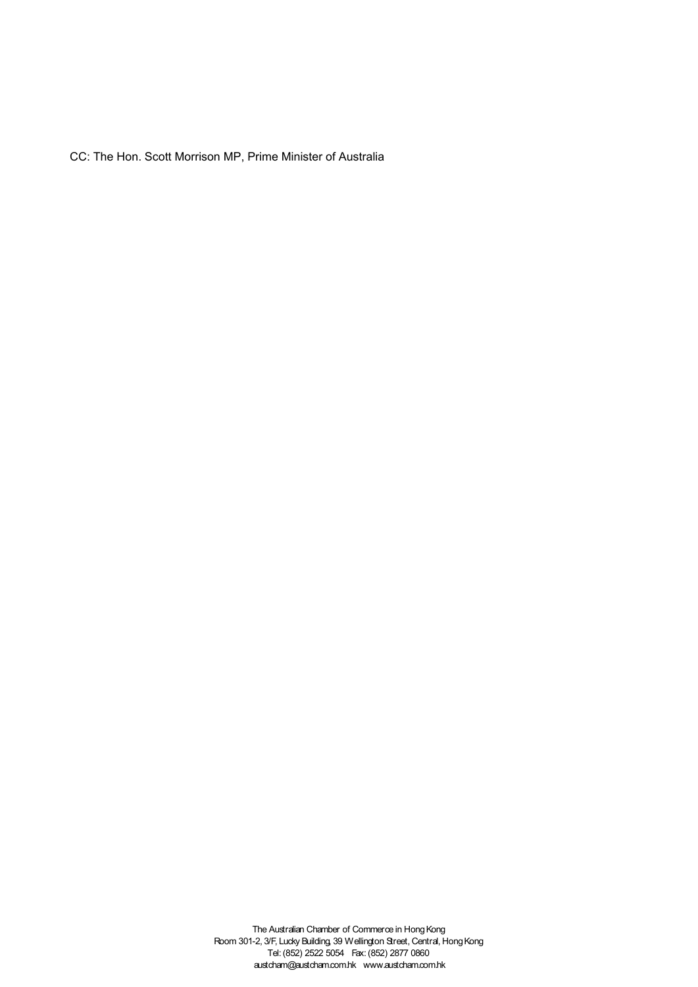CC: The Hon. Scott Morrison MP, Prime Minister of Australia

The Australian Chamber of Commerce in Hong Kong Room 301-2, 3/F, Lucky Building, 39 Wellington Street, Central, Hong Kong Tel: (852) 2522 5054 Fax: (852) 2877 0860 austcham@austcham.com.hk www.austcham.com.hk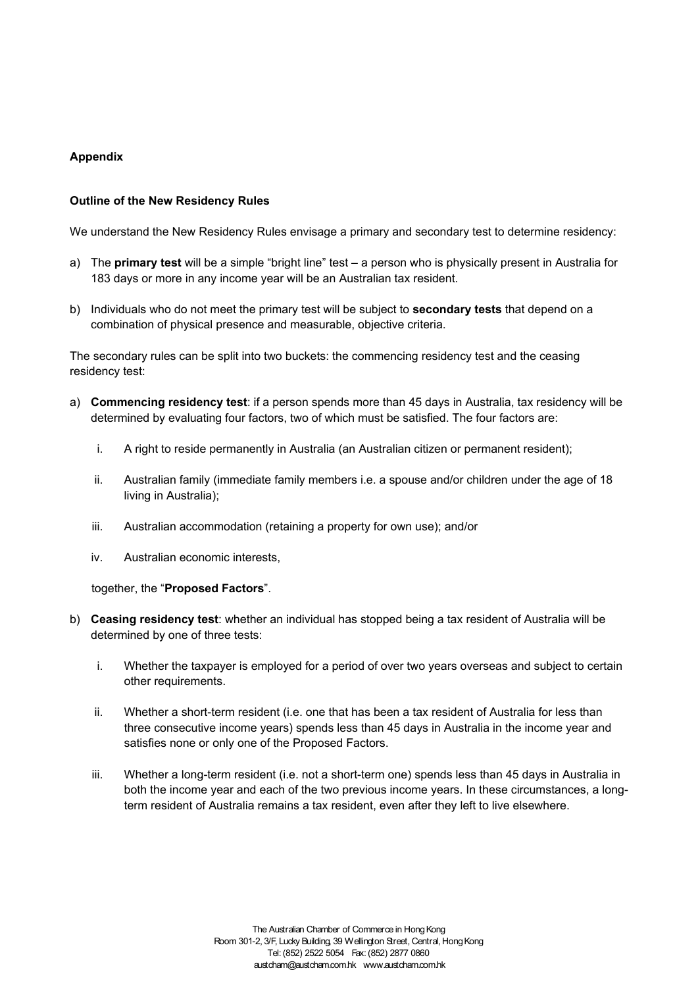# **Appendix**

## **Outline of the New Residency Rules**

We understand the New Residency Rules envisage a primary and secondary test to determine residency:

- a) The **primary test** will be a simple "bright line" test a person who is physically present in Australia for 183 days or more in any income year will be an Australian tax resident.
- b) Individuals who do not meet the primary test will be subject to **secondary tests** that depend on a combination of physical presence and measurable, objective criteria.

The secondary rules can be split into two buckets: the commencing residency test and the ceasing residency test:

- a) **Commencing residency test**: if a person spends more than 45 days in Australia, tax residency will be determined by evaluating four factors, two of which must be satisfied. The four factors are:
	- i. A right to reside permanently in Australia (an Australian citizen or permanent resident);
	- ii. Australian family (immediate family members i.e. a spouse and/or children under the age of 18 living in Australia);
	- iii. Australian accommodation (retaining a property for own use); and/or
	- iv. Australian economic interests,

together, the "**Proposed Factors**".

- b) **Ceasing residency test**: whether an individual has stopped being a tax resident of Australia will be determined by one of three tests:
	- i. Whether the taxpayer is employed for a period of over two years overseas and subject to certain other requirements.
	- ii. Whether a short-term resident (i.e. one that has been a tax resident of Australia for less than three consecutive income years) spends less than 45 days in Australia in the income year and satisfies none or only one of the Proposed Factors.
	- iii. Whether a long-term resident (i.e. not a short-term one) spends less than 45 days in Australia in both the income year and each of the two previous income years. In these circumstances, a longterm resident of Australia remains a tax resident, even after they left to live elsewhere.